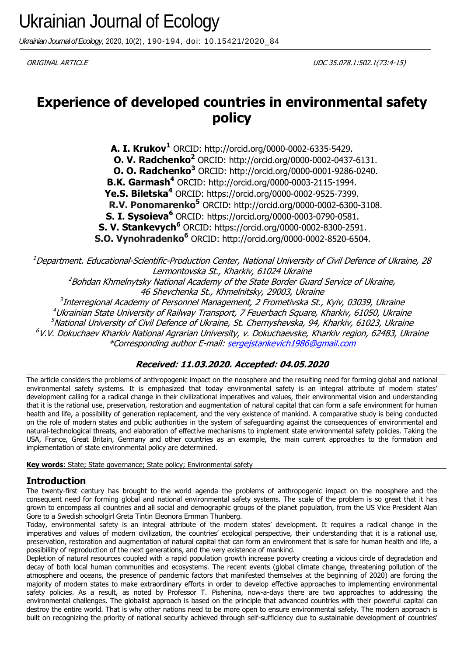*Ukrainian Journal of Ecology,* 2020, 10(2), 190-194, doi: 10.15421/2020\_84

ORIGINAL ARTICLE UDC 35.078.1:502.1(73:4-15)

# **Experience of developed countries in environmental safety policy**

**A. I. Krukov<sup>1</sup>** ORCID: http://orcid.org/0000-0002-6335-5429. **O. V. Radchenko<sup>2</sup>** ORCID: http://orcid.org/0000-0002-0437-6131. **O. O. Radchenko<sup>3</sup>** ORCID: http://orcid.org/0000-0001-9286-0240. **B.K. Garmash<sup>4</sup>** ORCID: http://orcid.org/0000-0003-2115-1994. **Ye.S. Biletska<sup>4</sup>** ORCID: https://orcid.org/0000-0002-9525-7399. **R.V. Ponomarenko<sup>5</sup>** ORCID: http://orcid.org/0000-0002-6300-3108. **S. I. Sysoieva<sup>6</sup>** ORCID: https://orcid.org/0000-0003-0790-0581. **S. V. Stankevych<sup>6</sup>** ORCID: https://orcid.org/0000-0002-8300-2591. **S.O. Vynohradenko<sup>6</sup>** ORCID: http://orcid.org/0000-0002-8520-6504.

 $^1$ Department. Educational-Scientific-Production Center, National University of Civil Defence of Ukraine, 28 Lermontovska St., Kharkiv, 61024 Ukraine

<sup>2</sup>Bohdan Khmelnytsky National Academy of the State Border Guard Service of Ukraine,

46 Shevchenka St., Khmelnitsky, 29003, Ukraine

<sup>3</sup>Interregional Academy of Personnel Management, 2 Frometivska St., Kyiv, 03039, Ukraine <sup>4</sup>Ukrainian State University of Railway Transport, 7 Feuerbach Square, Kharkiv, 61050, Ukraine  $<sup>5</sup>$ National University of Civil Defence of Ukraine, St. Chernyshevska, 94, Kharkiv, 61023, Ukraine</sup>  $6$ V.V. Dokuchaev Kharkiv National Agrarian University, v. Dokuchaevske, Kharkiv region, 62483, Ukraine \*Corresponding author E-mail: [sergejstankevich1986@gmail.com](mailto:sergejstankevich1986@gmail.com)

## **Received: 11.03.2020. Accepted: 04.05.2020**

The article considers the problems of anthropogenic impact on the noosphere and the resulting need for forming global and national environmental safety systems. It is emphasized that today environmental safety is an integral attribute of modern states' development calling for a radical change in their civilizational imperatives and values, their environmental vision and understanding that it is the rational use, preservation, restoration and augmentation of natural capital that can form a safe environment for human health and life, a possibility of generation replacement, and the very existence of mankind. A comparative study is being conducted on the role of modern states and public authorities in the system of safeguarding against the consequences of environmental and natural-technological threats, and elaboration of effective mechanisms to implement state environmental safety policies. Taking the USA, France, Great Britain, Germany and other countries as an example, the main current approaches to the formation and implementation of state environmental policy are determined.

**Key words**: State; State governance; State policy; Environmental safety

# **Introduction**

The twenty-first century has brought to the world agenda the problems of anthropogenic impact on the noosphere and the consequent need for forming global and national environmental safety systems. The scale of the problem is so great that it has grown to encompass all countries and all social and demographic groups of the planet population, from the US Vice President Alan Gore to a Swedish schoolgirl Greta Tintin Eleonora Ernman Thunberg.

Today, environmental safety is an integral attribute of the modern states' development. It requires a radical change in the imperatives and values of modern civilization, the countries' ecological perspective, their understanding that it is a rational use, preservation, restoration and augmentation of natural capital that can form an environment that is safe for human health and life, a possibiliity of reproduction of the next generations, and the very existence of mankind.

Depletion of natural resources coupled with a rapid population growth increase poverty creating a vicious circle of degradation and decay of both local human communities and ecosystems. The recent events (global climate change, threatening pollution of the atmosphere and oceans, the presence of pandemic factors that manifested themselves at the beginning of 2020) are forcing the majority of modern states to make extraordinary efforts in order to develop effective approaches to implementing environmental safety policies. As a result, as noted by Professor T. Pishenina, now-a-days there are two approaches to addressing the environmental challenges. The globalist approach is based on the principle that advanced countries with their powerful capital can destroy the entire world. That is why other nations need to be more open to ensure environmental safety. The modern approach is built on recognizing the priority of national security achieved through self-sufficiency due to sustainable development of countries'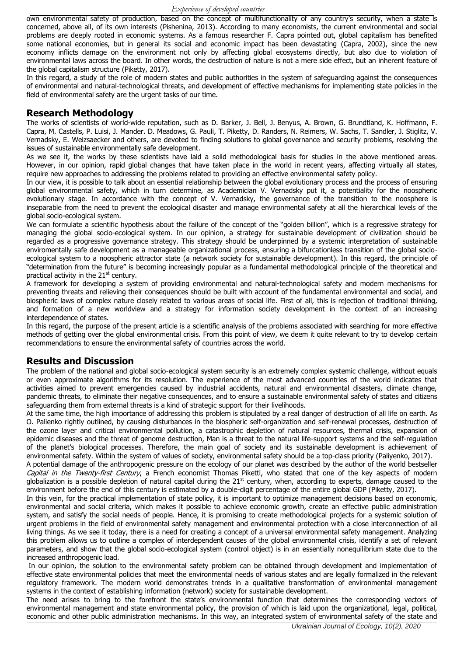own environmental safety of production, based on the concept of multifunctionality of any country's security, when a state is concerned, above all, of its own interests (Pishenina, 2013). According to many economists, the current environmental and social problems are deeply rooted in economic systems. As a famous researcher F. Capra pointed out, global capitalism has benefited some national economies, but in general its social and economic impact has been devastating (Capra, 2002), since the new economy inflicts damage on the environment not only by affecting global ecosystems directly, but also due to violation of environmental laws across the board. In other words, the destruction of nature is not a mere side effect, but an inherent feature of the global capitalism structure (Piketty, 2017).

In this regard, a study of the role of modern states and public authorities in the system of safeguarding against the consequences of environmental and natural-technological threats, and development of effective mechanisms for implementing state policies in the field of environmental safety are the urgent tasks of our time.

## **Research Methodology**

The works of scientists of world-wide reputation, such as D. Barker, J. Bell, J. Benyus, A. Brown, G. Brundtland, K. Hoffmann, F. Capra, M. Castells, P. Luisi, J. Mander. D. Meadows, G. Pauli, T. Piketty, D. Randers, N. Reimers, W. Sachs, T. Sandler, J. Stiglitz, V. Vernadsky, E. Weizsaecker and others, are devoted to finding solutions to global governance and security problems, resolving the issues of sustainable environmentally safe development.

As we see it, the works by these scientists have laid a solid methodological basis for studies in the above mentioned areas. However, in our opinion, rapid global changes that have taken place in the world in recent years, affecting virtually all states, require new approaches to addressing the problems related to providing an effective environmental safety policy.

In our view, it is possible to talk about an essential relationship between the global evolutionary process and the process of ensuring global environmental safety, which in turn determine, as Academician V. Vernadsky put it, a potentiality for the noospheric evolutionary stage. In accordance with the concept of V. Vernadsky, the governance of the transition to the noosphere is inseparable from the need to prevent the ecological disaster and manage environmental safety at all the hierarchical levels of the global socio-ecological system.

We can formulate a scientific hypothesis about the failure of the concept of the "golden billion", which is a regressive strategy for managing the global socio-ecological system. In our opinion, a strategy for sustainable development of civilization should be regarded as a progressive governance strategy. This strategy should be underpinned by a systemic interpretation of sustainable enviromentally safe development as a manageable organizational process, ensuring a bifurcationless transition of the global socioecological system to a noospheric attractor state (a network society for sustainable development). In this regard, the principle of "determination from the future" is becoming increasingly popular as a fundamental methodological principle of the theoretical and practical activity in the  $21<sup>st</sup>$  century.

A framework for developing a system of providing environmental and natural-technological safety and modern mechanisms for preventing threats and relieving their consequences should be built with account of the fundamental environmental and social, and biospheric laws of complex nature closely related to various areas of social life. First of all, this is rejection of traditional thinking, and formation of a new worldview and a strategy for information society development in the context of an increasing interdependence of states.

In this regard, the purpose of the present article is a scientific analysis of the problems associated with searching for more effective methods of getting over the global environmental crisis. From this point of view, we deem it quite relevant to try to develop certain recommendations to ensure the environmental safety of countries across the world.

## **Results and Discussion**

The problem of the national and global socio-ecological system security is an extremely complex systemic challenge, without equals or even approximate algorithms for its resolution. The experience of the most advanced countries of the world indicates that activities aimed to prevent emergencies caused by industrial accidents, natural and environmental disasters, climate change, pandemic threats, to eliminate their negative consequences, and to ensure a sustainable environmental safety of states and citizens safeguarding them from external threats is a kind of strategic support for their livelihoods.

At the same time, the high importance of addressing this problem is stipulated by a real danger of destruction of all life on earth. As O. Palienko rightly outlined, by causing disturbances in the biospheric self-organization and self-renewal processes, destruction of the ozone layer and critical environmental pollution, a catastrophic depletion of natural resources, thermal crisis, expansion of epidemic diseases and the threat of genome destruction, Man is a threat to the natural life-support systems and the self-regulation of the planet's biological processes. Therefore, the main goal of society and its sustainable development is achievement of environmental safety. Within the system of values of society, environmental safety should be a top-class priority (Paliyenko, 2017).

A potential damage of the anthropogenic pressure on the ecology of our planet was described by the author of the world bestseller Capital in the Twenty-first Century, a French economist Thomas Piketti, who stated that one of the key aspects of modern globalization is a possible depletion of natural capital during the  $21<sup>st</sup>$  century, when, according to experts, damage caused to the environment before the end of this century is estimated by a double-digit percentage of the entire global GDP (Piketty, 2017).

In this vein, for the practical implementation of state policy, it is important to optimize management decisions based on economic, environmental and social criteria, which makes it possible to achieve economic growth, create an effective public administration system, and satisfy the social needs of people. Hence, it is promising to create methodological projects for a systemic solution of urgent problems in the field of environmental safety management and environmental protection with a close interconnection of all living things. As we see it today, there is a need for creating a concept of a universal environmental safety management. Analyzing this problem allows us to outline a complex of interdependent causes of the global environmental crisis, identify a set of relevant parameters, and show that the global socio-ecological system (control object) is in an essentially nonequilibrium state due to the increased anthropogenic load.

In our opinion, the solution to the environmental safety problem can be obtained through development and implementation of effective state environmental policies that meet the environmental needs of various states and are legally formalized in the relevant regulatory framework. The modern world demonstrates trends in a qualitative transformation of environmental management systems in the context of establishing information (network) society for sustainable development.

The need arises to bring to the forefront the state's environmental function that determines the corresponding vectors of environmental management and state environmental policy, the provision of which is laid upon the organizational, legal, political, economic and other public administration mechanisms. In this way, an integrated system of environmental safety of the state and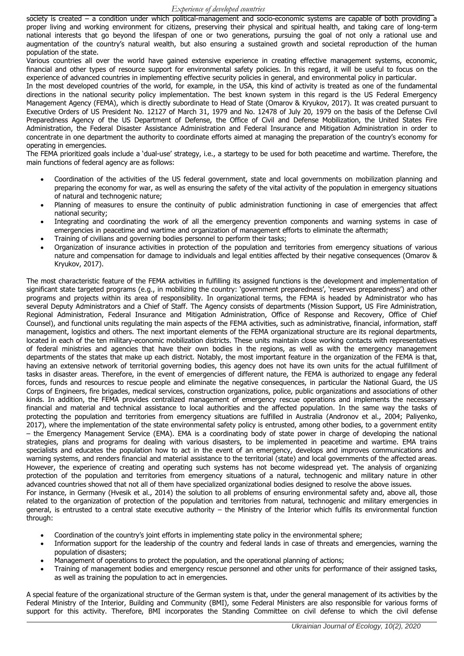society is created – a condition under which political-management and socio-economic systems are capable of both providing a proper living and working environment for citizens, preserving their physical and spiritual health, and taking care of long-term national interests that go beyond the lifespan of one or two generations, pursuing the goal of not only a rational use and augmentation of the country's natural wealth, but also ensuring a sustained growth and societal reproduction of the human population of the state.

Various countries all over the world have gained extensive experience in creating effective management systems, economic, financial and other types of resource support for environmental safety policies. In this regard, it will be useful to focus on the experience of advanced countries in implementing effective security policies in general, and environmental policy in particular.

In the most developed countries of the world, for example, in the USA, this kind of activity is treated as one of the fundamental directions in the national security policy implementation. The best known system in this regard is the US Federal Emergency Management Agency (FEMA), which is directly subordinate to Head of State (Omarov & Kryukov, 2017). It was created pursuant to Executive Orders of US President No. 12127 of March 31, 1979 and No. 12478 of July 20, 1979 on the basis of the Defense Civil Preparedness Agency of the US Department of Defense, the Office of Civil and Defense Mobilization, the United States Fire Administration, the Federal Disaster Assistance Administration and Federal Insurance and Mitigation Administration in order to concentrate in one department the authority to coordinate efforts aimed at managing the preparation of the country's economy for operating in emergencies.

The FEMA prioritized goals include a 'dual-use' strategy, i.e., a startegy to be used for both peacetime and wartime. Therefore, the main functions of federal agency are as follows:

- Coordination of the activities of the US federal government, state and local governments on mobilization planning and preparing the economy for war, as well as ensuring the safety of the vital activity of the population in emergency situations of natural and technogenic nature;
- Planning of measures to ensure the continuity of public administration functioning in case of emergencies that affect national security;
- Integrating and coordinating the work of all the emergency prevention components and warning systems in case of emergencies in peacetime and wartime and organization of management efforts to eliminate the aftermath;
- Training of civilians and governing bodies personnel to perform their tasks;
- Organization of insurance activities in protection of the population and territories from emergency situations of various nature and compensation for damage to individuals and legal entities affected by their negative consequences (Omarov & Kryukov, 2017).

The most characteristic feature of the FEMA activities in fulfilling its assigned functions is the development and implementation of significant state targeted programs (e.g., in mobilizing the country: 'government preparedness', 'reserves preparedness') and other programs and projects within its area of responsibility. In organizational terms, the FEMA is headed by Administrator who has several Deputy Administrators and a Chief of Staff. The Agency consists of departments (Mission Support, US Fire Administration, Regional Administration, Federal Insurance and Mitigation Administration, Office of Response and Recovery, Office of Chief Counsel), and functional units regulating the main aspects of the FEMA activities, such as administrative, financial, information, staff management, logistics and others. The next important elements of the FEMA organizational structure are its regional departments, located in each of the ten military-economic mobilization districts. These units maintain close working contacts with representatives of federal ministries and agencies that have their own bodies in the regions, as well as with the emergency management departments of the states that make up each district. Notably, the most important feature in the organization of the FEMA is that, having an extensive network of territorial governing bodies, this agency does not have its own units for the actual fulfillment of tasks in disaster areas. Therefore, in the event of emergencies of different nature, the FEMA is authorized to engage any federal forces, funds and resources to rescue people and eliminate the negative consequences, in particular the National Guard, the US Corps of Engineers, fire brigades, medical services, construction organizations, police, public organizations and associations of other kinds. In addition, the FEMA provides centralized management of emergency rescue operations and implements the necessary financial and material and technical assistance to local authorities and the affected population. In the same way the tasks of protecting the population and territories from emergency situations are fulfilled in Australia (Andronov et al., 2004; Paliyenko, 2017), where the implementation of the state environmental safety policy is entrusted, among other bodies, to a government entity – the Emergency Management Service (EMA). EMA is a coordinating body of state power in charge of developing the national strategies, plans and programs for dealing with various disasters, to be implemented in peacetime and wartime. EMA trains specialists and educates the population how to act in the event of an emergency, develops and improves communications and warning systems, and renders financial and material assistance to the territorial (state) and local governments of the affected areas. However, the experience of creating and operating such systems has not become widespread yet. The analysis of organizing protection of the population and territories from emergency situations of a natural, technogenic and military nature in other advanced countries showed that not all of them have specialized organizational bodies designed to resolve the above issues. For instance, in Germany (Hvesik et al., 2014) the solution to all problems of ensuring environmental safety and, above all, those

related to the organization of protection of the population and territories from natural, technogenic and military emergencies in general, is entrusted to a central state executive authority – the Ministry of the Interior which fulfils its environmental function through:

- Coordination of the country's joint efforts in implementing state policy in the environmental sphere;
- Information support for the leadership of the country and federal lands in case of threats and emergencies, warning the population of disasters;
- Management of operations to protect the population, and the operational planning of actions;
- Training of management bodies and emergency rescue personnel and other units for performance of their assigned tasks, as well as training the population to act in emergencies.

A special feature of the organizational structure of the German system is that, under the general management of its activities by the Federal Ministry of the Interior, Building and Community (BMI), some Federal Ministers are also responsible for various forms of support for this activity. Therefore, BMI incorporates the Standing Committee on civil defense to which the civil defense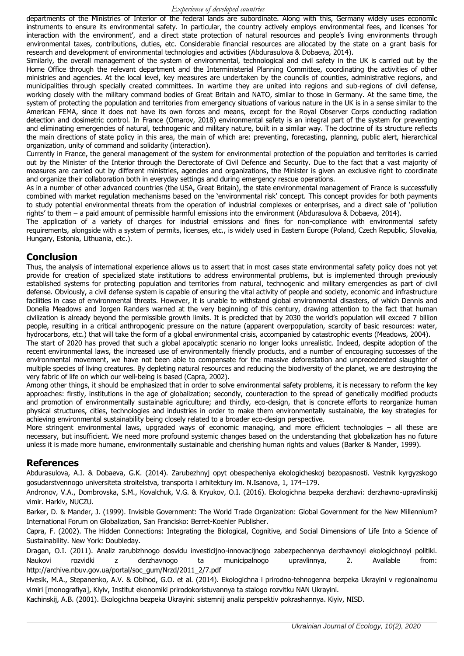#### *Experience of developed countries*

departments of the Ministries of Interior of the federal lands are subordinate. Along with this, Germany widely uses economic instruments to ensure its environmental safety. In particular, the country actively employs environmental fees, and licenses 'for interaction with the environment', and a direct state protection of natural resources and people's living environments through environmental taxes, contributions, duties, etc. Considerable financial resources are allocated by the state on a grant basis for research and development of environmental technologies and activities (Abdurasulova & Dobaeva, 2014).

Similarly, the overall management of the system of environmental, technological and civil safety in the UK is carried out by the Home Office through the relevant department and the Interministerial Planning Committee, coordinating the activities of other ministries and agencies. At the local level, key measures are undertaken by the councils of counties, administrative regions, and municipalities through specially created committees. In wartime they are united into regions and sub-regions of civil defense, working closely with the military command bodies of Great Britain and NATO, similar to those in Germany. At the same time, the system of protecting the population and territories from emergency situations of various nature in the UK is in a sense similar to the American FEMA, since it does not have its own forces and means, except for the Royal Observer Corps conducting radiation detection and dosimetric control. In France (Omarov, 2018) environmental safety is an integral part of the system for preventing and eliminating emergencies of natural, technogenic and military nature, built in a similar way. The doctrine of its structure reflects the main directions of state policy in this area, the main of which are: preventing, forecasting, planning, public alert, hierarchical organization, unity of command and solidarity (interaction).

Currently in France, the general management of the system for environmental protection of the population and territories is carried out by the Minister of the Interior through the Derectorate of Civil Defence and Security. Due to the fact that a vast majority of measures are carried out by different ministries, agencies and organizations, the Minister is given an exclusive right to coordinate and organize their collaboration both in everyday settings and during emergency rescue operations.

As in a number of other advanced countries (the USA, Great Britain), the state environmental management of France is successfully combined with market regulation mechanisms based on the 'environmental risk' concept. This concept provides for both payments to study potential environmental threats from the operation of industrial complexes or enterprises, and a direct sale of 'pollution rights' to them – a paid amount of permissible harmful emissions into the environment (Abdurasulova & Dobaeva, 2014).

The application of a variety of charges for industrial emissions and fines for non-compliance with environmental safety requirements, alongside with a system of permits, licenses, etc., is widely used in Eastern Europe (Poland, Czech Republic, Slovakia, Hungary, Estonia, Lithuania, etc.).

#### **Conclusion**

Thus, the analysis of international experience allows us to assert that in most cases state environmental safety policy does not yet provide for creation of specialized state institutions to address environmental problems, but is implemented through previously established systems for protecting population and territories from natural, technogenic and military emergencies as part of civil defense. Obviously, a civil defense system is capable of ensuring the vital activity of people and society, economic and infrastructure facilities in case of environmental threats. However, it is unable to withstand global environmental disasters, of which Dennis and Donella Meadows and Jorgen Randers warned at the very beginning of this century, drawing attention to the fact that human civilization is already beyond the permissible growth limits. It is predicted that by 2030 the world's population will exceed 7 billion people, resulting in a critical anthropogenic pressure on the nature (apparent overpopulation, scarcity of basic resources: water, hydrocarbons, etc.) that will take the form of a global environmental crisis, accompanied by catastrophic events (Meadows, 2004).

The start of 2020 has proved that such a global apocalyptic scenario no longer looks unrealistic. Indeed, despite adoption of the recent environmental laws, the increased use of environmentally friendly products, and a number of encouraging successes of the environmental movement, we have not been able to compensate for the massive deforestation and unprecedented slaughter of multiple species of living creatures. By depleting natural resources and reducing the biodiversity of the planet, we are destroying the very fabric of life on which our well-being is based (Capra, 2002).

Among other things, it should be emphasized that in order to solve environmental safety problems, it is necessary to reform the key approaches: firstly, institutions in the age of globalization; secondly, counteraction to the spread of genetically modified products and promotion of environmentally sustainable agriculture; and thirdly, eco-design, that is concrete efforts to reorganize human physical structures, cities, technologies and industries in order to make them environmentally sustainable, the key strategies for achieving environmental sustainability being closely related to a broader eco-design perspective.

More stringent environmental laws, upgraded ways of economic managing, and more efficient technologies – all these are necessary, but insufficient. We need more profound systemic changes based on the understanding that globalization has no future unless it is made more humane, environmentally sustainable and cherishing human rights and values (Barker & Mander, 1999).

#### **References**

Abdurasulova, A.I. & Dobaeva, G.K. (2014). Zarubezhnyj opyt obespecheniya ekologicheskoj bezopasnosti. Vestnik kyrgyzskogo gosudarstvennogo universiteta stroitelstva, transporta i arhitektury im. N.Isanova, 1, 174–179.

Andronov, V.A., Dombrovska, S.M., Kovalchuk, V.G. & Kryukov, O.I. (2016). Ekologichna bezpeka derzhavi: derzhavno-upravlinskij vimir. Harkiv, NUCZU.

Barker, D. & Mander, J. (1999). Invisible Government: The World Trade Organization: Global Government for the New Millennium? International Forum on Globalization, San Francisko: Berret-Koehler Publisher.

Capra, F. (2002). The Hidden Connections: Integrating the Biological, Cognitive, and Social Dimensions of Life Into a Science of Sustainability. New York: Doubleday.

Dragan, O.I. (2011). Analiz zarubizhnogo dosvidu investicijno-innovacijnogo zabezpechennya derzhavnoyi ekologichnoyi politiki. Naukovi rozvidki z derzhavnogo ta municipalnogo upravlinnya, 2. Available from: [http://archive.nbuv.gov.ua/portal/soc\\_gum/Nrzd/2011\\_2/7.pdf](http://archive.nbuv.gov.ua/portal/soc_gum/Nrzd/2011_2/7.pdf)

Hvesik, M.A., Stepanenko, A.V. & Obihod, G.O. et al. (2014). Ekologichna i prirodno-tehnogenna bezpeka Ukrayini v regionalnomu vimiri [monografiya], Kiyiv, Institut ekonomiki prirodokoristuvannya ta stalogo rozvitku NAN Ukrayini.

Kachinskij, A.B. (2001). Ekologichna bezpeka Ukrayini: sistemnij analiz perspektiv pokrashannya. Kiyiv, NISD.